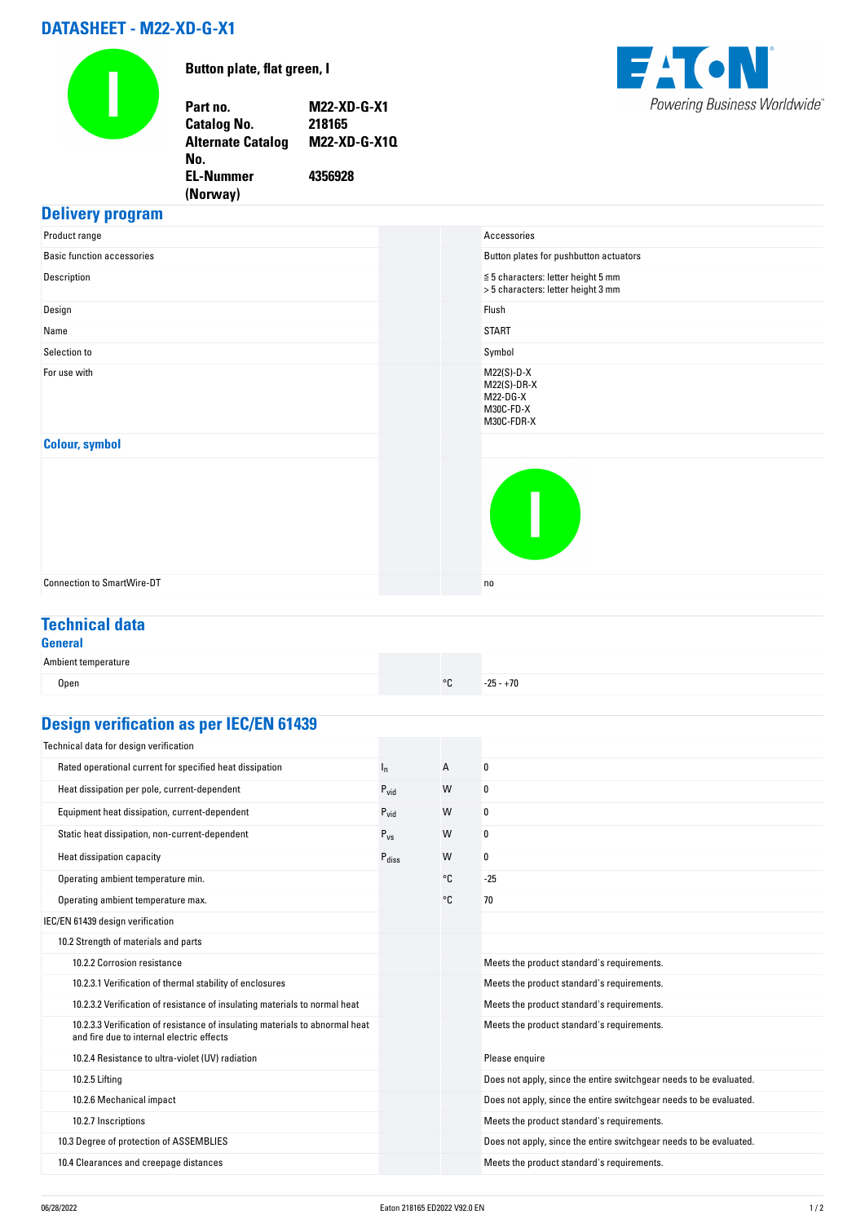# **DATASHEET - M22-XD-G-X1**

**No.** 

**EL-Nummer (Norway)** 



**Button plate, flat green, I**

**Part no. M22-XD-G-X1 Catalog No. Alternate Catalog M22-XD-G-X1Q**

**4356928**



#### **Delivery program**

| Product range                     | Accessories                                                                   |
|-----------------------------------|-------------------------------------------------------------------------------|
| <b>Basic function accessories</b> | Button plates for pushbutton actuators                                        |
| Description                       | $\leq 5$ characters: letter height 5 mm<br>> 5 characters: letter height 3 mm |
| Design                            | Flush                                                                         |
| Name                              | <b>START</b>                                                                  |
| Selection to                      | Symbol                                                                        |
| For use with                      | $M22(S)-D-X$<br>$M22(S)-DR-X$<br>M22-DG-X<br>M30C-FD-X<br>M30C-FDR-X          |
| <b>Colour, symbol</b>             |                                                                               |
|                                   | I                                                                             |
| <b>Connection to SmartWire-DT</b> | no                                                                            |
|                                   |                                                                               |

## **Technical data**

| <br>w | $\sim$ |  |
|-------|--------|--|

| Ambient temperature |            |             |
|---------------------|------------|-------------|
| Open                | $^{\circ}$ | $-25 - +70$ |

# **Design verification as per IEC/EN 61439**

| Technical data for design verification                                                                                    |                   |    |                                                                    |
|---------------------------------------------------------------------------------------------------------------------------|-------------------|----|--------------------------------------------------------------------|
| Rated operational current for specified heat dissipation                                                                  | $I_{n}$           | Α  | 0                                                                  |
| Heat dissipation per pole, current-dependent                                                                              | $P_{vid}$         | W  | 0                                                                  |
| Equipment heat dissipation, current-dependent                                                                             | $P_{vid}$         | W  | 0                                                                  |
| Static heat dissipation, non-current-dependent                                                                            | $P_{VS}$          | W  | 0                                                                  |
| Heat dissipation capacity                                                                                                 | $P_{\text{diss}}$ | W  | 0                                                                  |
| Operating ambient temperature min.                                                                                        |                   | °C | $-25$                                                              |
| Operating ambient temperature max.                                                                                        |                   | °€ | 70                                                                 |
| IEC/EN 61439 design verification                                                                                          |                   |    |                                                                    |
| 10.2 Strength of materials and parts                                                                                      |                   |    |                                                                    |
| 10.2.2 Corrosion resistance                                                                                               |                   |    | Meets the product standard's requirements.                         |
| 10.2.3.1 Verification of thermal stability of enclosures                                                                  |                   |    | Meets the product standard's requirements.                         |
| 10.2.3.2 Verification of resistance of insulating materials to normal heat                                                |                   |    | Meets the product standard's requirements.                         |
| 10.2.3.3 Verification of resistance of insulating materials to abnormal heat<br>and fire due to internal electric effects |                   |    | Meets the product standard's requirements.                         |
| 10.2.4 Resistance to ultra-violet (UV) radiation                                                                          |                   |    | Please enquire                                                     |
| 10.2.5 Lifting                                                                                                            |                   |    | Does not apply, since the entire switchgear needs to be evaluated. |
| 10.2.6 Mechanical impact                                                                                                  |                   |    | Does not apply, since the entire switchgear needs to be evaluated. |
| 10.2.7 Inscriptions                                                                                                       |                   |    | Meets the product standard's requirements.                         |
| 10.3 Degree of protection of ASSEMBLIES                                                                                   |                   |    | Does not apply, since the entire switchgear needs to be evaluated. |
| 10.4 Clearances and creepage distances                                                                                    |                   |    | Meets the product standard's requirements.                         |